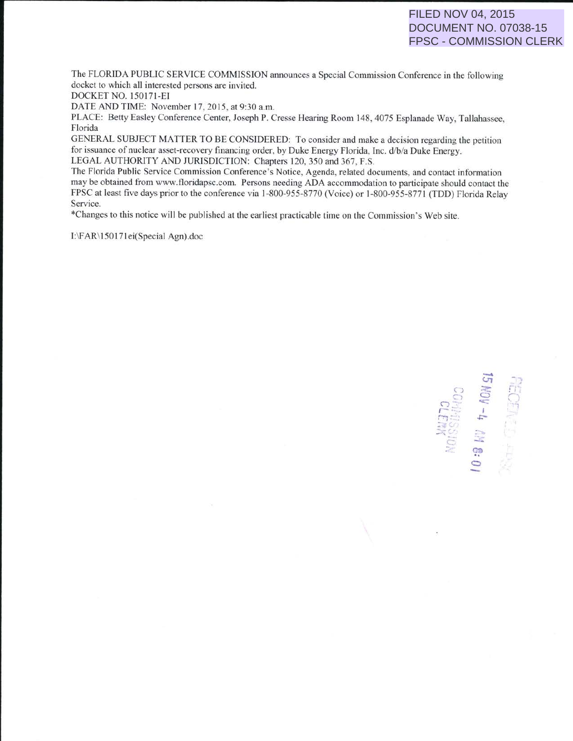The FLORIDA PUBLIC SERVICE COMMISSION announces a Special Commission Conference in the following docket to which all interested persons are invited.

DOCKET NO. 150 171-EI

DATE AND TIME: November 17, 2015, at 9:30 a.m.

PLACE: Betty Easley Conference Center, Joseph P. Cresse Hearing Room 148.4075 Esplanade Way, Tallahassee, Florida

GENERAL SUBJECT MATTER TO BE CONSIDERED: To consider and make a decision regarding the petition for issuance of nuclear asset-recovery financing order, by Duke Energy Florida, Inc. d/b/a Duke Energy. LEGAL AUTHORITY AND JURISDICTION: Chapters 120,350 and 367, F.S.

The Florida Public Service Commission Conference's Notice, Agenda, related documents, and contact infonnation may be obtained from www.floridapsc.com. Persons needing ADA accommodation to participate should contact the FPSC at least five days prior to the conference via 1-800-955-8770 (Voice) or 1-800-955-8771 (TOO) Florida Relay Service.

\*Changes to this notice will be published at the earliest practicable time on the Commission's Web site.

1:\F AR\ 150171 ei(Special Agn).doc

 $\sigma$ co<br> **kDN**<br>
co *<sup>r</sup>*"· *-·* I ........ !\_'J *.s::* rin &: O<br>Slon ,